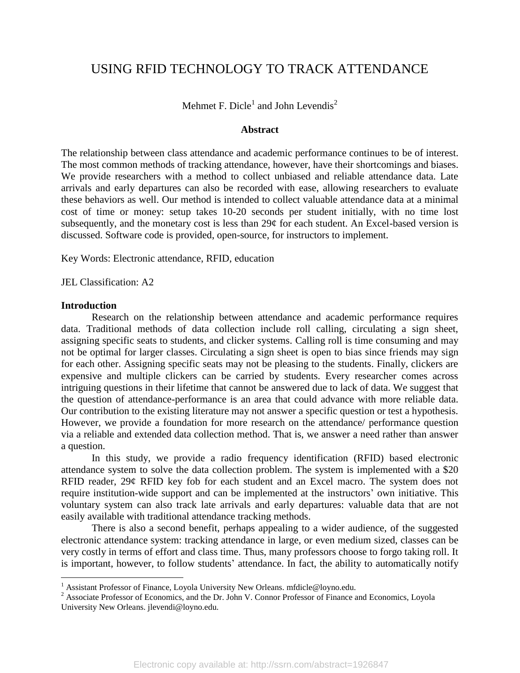# USING RFID TECHNOLOGY TO TRACK ATTENDANCE

Mehmet F. Dicle<sup>1</sup> and John Levendis<sup>2</sup>

#### **Abstract**

The relationship between class attendance and academic performance continues to be of interest. The most common methods of tracking attendance, however, have their shortcomings and biases. We provide researchers with a method to collect unbiased and reliable attendance data. Late arrivals and early departures can also be recorded with ease, allowing researchers to evaluate these behaviors as well. Our method is intended to collect valuable attendance data at a minimal cost of time or money: setup takes 10-20 seconds per student initially, with no time lost subsequently, and the monetary cost is less than  $29¢$  for each student. An Excel-based version is discussed. Software code is provided, open-source, for instructors to implement.

Key Words: Electronic attendance, RFID, education

JEL Classification: A2

#### **Introduction**

 $\overline{a}$ 

Research on the relationship between attendance and academic performance requires data. Traditional methods of data collection include roll calling, circulating a sign sheet, assigning specific seats to students, and clicker systems. Calling roll is time consuming and may not be optimal for larger classes. Circulating a sign sheet is open to bias since friends may sign for each other. Assigning specific seats may not be pleasing to the students. Finally, clickers are expensive and multiple clickers can be carried by students. Every researcher comes across intriguing questions in their lifetime that cannot be answered due to lack of data. We suggest that the question of attendance-performance is an area that could advance with more reliable data. Our contribution to the existing literature may not answer a specific question or test a hypothesis. However, we provide a foundation for more research on the attendance/ performance question via a reliable and extended data collection method. That is, we answer a need rather than answer a question.

In this study, we provide a radio frequency identification (RFID) based electronic attendance system to solve the data collection problem. The system is implemented with a \$20 RFID reader, 29¢ RFID key fob for each student and an Excel macro. The system does not require institution-wide support and can be implemented at the instructors' own initiative. This voluntary system can also track late arrivals and early departures: valuable data that are not easily available with traditional attendance tracking methods.

There is also a second benefit, perhaps appealing to a wider audience, of the suggested electronic attendance system: tracking attendance in large, or even medium sized, classes can be very costly in terms of effort and class time. Thus, many professors choose to forgo taking roll. It is important, however, to follow students' attendance. In fact, the ability to automatically notify

<sup>&</sup>lt;sup>1</sup> Assistant Professor of Finance, Loyola University New Orleans. mfdicle@loyno.edu.

<sup>&</sup>lt;sup>2</sup> Associate Professor of Economics, and the Dr. John V. Connor Professor of Finance and Economics, Loyola University New Orleans. jlevendi@loyno.edu.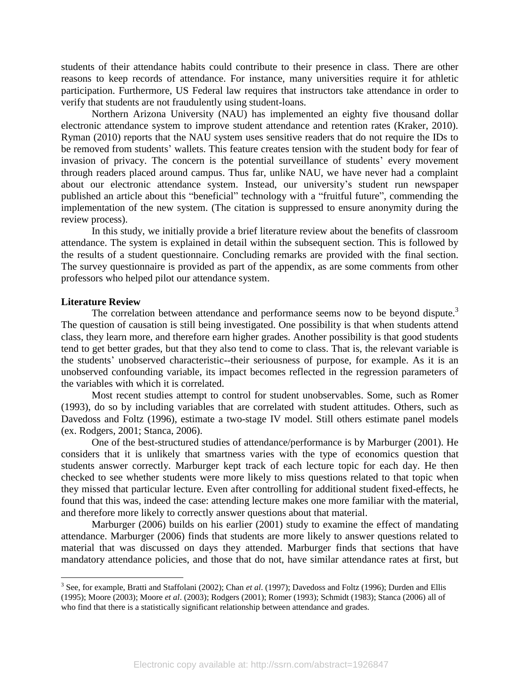students of their attendance habits could contribute to their presence in class. There are other reasons to keep records of attendance. For instance, many universities require it for athletic participation. Furthermore, US Federal law requires that instructors take attendance in order to verify that students are not fraudulently using student-loans.

Northern Arizona University (NAU) has implemented an eighty five thousand dollar electronic attendance system to improve student attendance and retention rates (Kraker, 2010). Ryman (2010) reports that the NAU system uses sensitive readers that do not require the IDs to be removed from students' wallets. This feature creates tension with the student body for fear of invasion of privacy. The concern is the potential surveillance of students' every movement through readers placed around campus. Thus far, unlike NAU, we have never had a complaint about our electronic attendance system. Instead, our university's student run newspaper published an article about this "beneficial" technology with a "fruitful future", commending the implementation of the new system. (The citation is suppressed to ensure anonymity during the review process).

In this study, we initially provide a brief literature review about the benefits of classroom attendance. The system is explained in detail within the subsequent section. This is followed by the results of a student questionnaire. Concluding remarks are provided with the final section. The survey questionnaire is provided as part of the appendix, as are some comments from other professors who helped pilot our attendance system.

#### **Literature Review**

 $\overline{a}$ 

The correlation between attendance and performance seems now to be beyond dispute.<sup>3</sup> The question of causation is still being investigated. One possibility is that when students attend class, they learn more, and therefore earn higher grades. Another possibility is that good students tend to get better grades, but that they also tend to come to class. That is, the relevant variable is the students' unobserved characteristic--their seriousness of purpose, for example. As it is an unobserved confounding variable, its impact becomes reflected in the regression parameters of the variables with which it is correlated.

Most recent studies attempt to control for student unobservables. Some, such as Romer (1993), do so by including variables that are correlated with student attitudes. Others, such as Davedoss and Foltz (1996), estimate a two-stage IV model. Still others estimate panel models (ex. Rodgers, 2001; Stanca, 2006).

One of the best-structured studies of attendance/performance is by Marburger (2001). He considers that it is unlikely that smartness varies with the type of economics question that students answer correctly. Marburger kept track of each lecture topic for each day. He then checked to see whether students were more likely to miss questions related to that topic when they missed that particular lecture. Even after controlling for additional student fixed-effects, he found that this was, indeed the case: attending lecture makes one more familiar with the material, and therefore more likely to correctly answer questions about that material.

Marburger (2006) builds on his earlier (2001) study to examine the effect of mandating attendance. Marburger (2006) finds that students are more likely to answer questions related to material that was discussed on days they attended. Marburger finds that sections that have mandatory attendance policies, and those that do not, have similar attendance rates at first, but

<sup>3</sup> See, for example, Bratti and Staffolani (2002); Chan *et al*. (1997); Davedoss and Foltz (1996); Durden and Ellis (1995); Moore (2003); Moore *et al*. (2003); Rodgers (2001); Romer (1993); Schmidt (1983); Stanca (2006) all of who find that there is a statistically significant relationship between attendance and grades.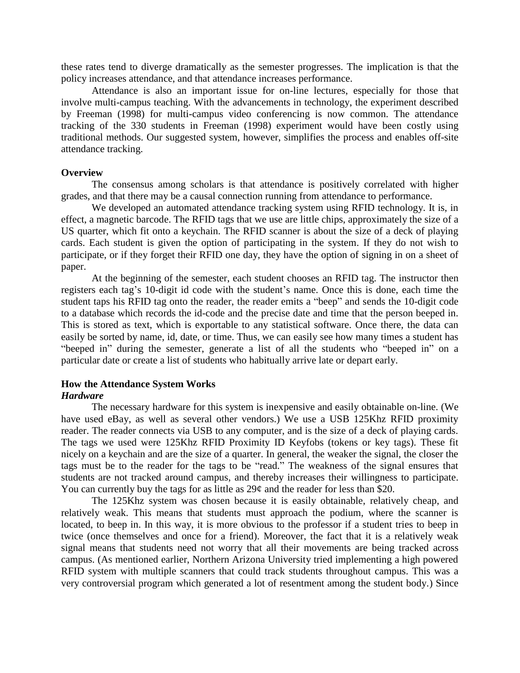these rates tend to diverge dramatically as the semester progresses. The implication is that the policy increases attendance, and that attendance increases performance.

Attendance is also an important issue for on-line lectures, especially for those that involve multi-campus teaching. With the advancements in technology, the experiment described by Freeman (1998) for multi-campus video conferencing is now common. The attendance tracking of the 330 students in Freeman (1998) experiment would have been costly using traditional methods. Our suggested system, however, simplifies the process and enables off-site attendance tracking.

## **Overview**

The consensus among scholars is that attendance is positively correlated with higher grades, and that there may be a causal connection running from attendance to performance.

We developed an automated attendance tracking system using RFID technology. It is, in effect, a magnetic barcode. The RFID tags that we use are little chips, approximately the size of a US quarter, which fit onto a keychain. The RFID scanner is about the size of a deck of playing cards. Each student is given the option of participating in the system. If they do not wish to participate, or if they forget their RFID one day, they have the option of signing in on a sheet of paper.

At the beginning of the semester, each student chooses an RFID tag. The instructor then registers each tag's 10-digit id code with the student's name. Once this is done, each time the student taps his RFID tag onto the reader, the reader emits a "beep" and sends the 10-digit code to a database which records the id-code and the precise date and time that the person beeped in. This is stored as text, which is exportable to any statistical software. Once there, the data can easily be sorted by name, id, date, or time. Thus, we can easily see how many times a student has "beeped in" during the semester, generate a list of all the students who "beeped in" on a particular date or create a list of students who habitually arrive late or depart early.

#### **How the Attendance System Works** *Hardware*

The necessary hardware for this system is inexpensive and easily obtainable on-line. (We have used eBay, as well as several other vendors.) We use a USB 125Khz RFID proximity reader. The reader connects via USB to any computer, and is the size of a deck of playing cards. The tags we used were 125Khz RFID Proximity ID Keyfobs (tokens or key tags). These fit nicely on a keychain and are the size of a quarter. In general, the weaker the signal, the closer the tags must be to the reader for the tags to be "read." The weakness of the signal ensures that students are not tracked around campus, and thereby increases their willingness to participate. You can currently buy the tags for as little as  $29¢$  and the reader for less than \$20.

The 125Khz system was chosen because it is easily obtainable, relatively cheap, and relatively weak. This means that students must approach the podium, where the scanner is located, to beep in. In this way, it is more obvious to the professor if a student tries to beep in twice (once themselves and once for a friend). Moreover, the fact that it is a relatively weak signal means that students need not worry that all their movements are being tracked across campus. (As mentioned earlier, Northern Arizona University tried implementing a high powered RFID system with multiple scanners that could track students throughout campus. This was a very controversial program which generated a lot of resentment among the student body.) Since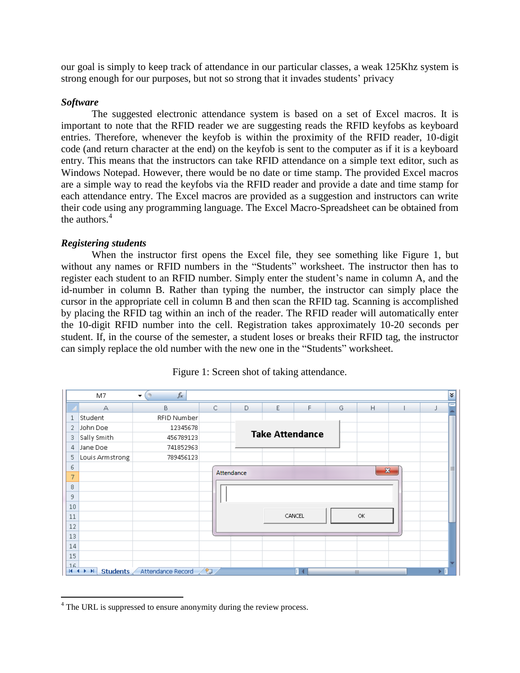our goal is simply to keep track of attendance in our particular classes, a weak 125Khz system is strong enough for our purposes, but not so strong that it invades students' privacy

## *Software*

The suggested electronic attendance system is based on a set of Excel macros. It is important to note that the RFID reader we are suggesting reads the RFID keyfobs as keyboard entries. Therefore, whenever the keyfob is within the proximity of the RFID reader, 10-digit code (and return character at the end) on the keyfob is sent to the computer as if it is a keyboard entry. This means that the instructors can take RFID attendance on a simple text editor, such as Windows Notepad. However, there would be no date or time stamp. The provided Excel macros are a simple way to read the keyfobs via the RFID reader and provide a date and time stamp for each attendance entry. The Excel macros are provided as a suggestion and instructors can write their code using any programming language. The Excel Macro-Spreadsheet can be obtained from the authors. $4$ 

## *Registering students*

 $\overline{a}$ 

When the instructor first opens the Excel file, they see something like Figure 1, but without any names or RFID numbers in the "Students" worksheet. The instructor then has to register each student to an RFID number. Simply enter the student's name in column A, and the id-number in column B. Rather than typing the number, the instructor can simply place the cursor in the appropriate cell in column B and then scan the RFID tag. Scanning is accomplished by placing the RFID tag within an inch of the reader. The RFID reader will automatically enter the 10-digit RFID number into the cell. Registration takes approximately 10-20 seconds per student. If, in the course of the semester, a student loses or breaks their RFID tag, the instructor can simply replace the old number with the new one in the "Students" worksheet.

|                | M7                                   | $f_x$<br>$\overline{\phantom{a}}$ |     |            |   |                        |   |              |   | l× |
|----------------|--------------------------------------|-----------------------------------|-----|------------|---|------------------------|---|--------------|---|----|
|                | А                                    | B                                 | C.  | D          | Ε | F                      | G | Η            | J |    |
| $\mathbf{1}$   | <b>Student</b>                       | RFID Number                       |     |            |   |                        |   |              |   |    |
| $\overline{2}$ | John Doe                             | 12345678                          |     |            |   |                        |   |              |   |    |
| 3              | Sally Smith                          | 456789123                         |     |            |   | <b>Take Attendance</b> |   |              |   |    |
| $\overline{4}$ | Jane Doe                             | 741852963                         |     |            |   |                        |   |              |   |    |
| 5              | Louis Armstrong                      | 789456123                         |     |            |   |                        |   |              |   |    |
| 6              |                                      |                                   |     |            |   |                        |   | $\mathbf{x}$ |   |    |
| 7              |                                      |                                   |     | Attendance |   |                        |   |              |   |    |
| 8              |                                      |                                   |     |            |   |                        |   |              |   |    |
| 9              |                                      |                                   |     |            |   |                        |   |              |   |    |
| 10             |                                      |                                   |     |            |   |                        |   |              |   |    |
| 11             |                                      |                                   |     |            |   | CANCEL                 |   | ОK           |   |    |
| 12             |                                      |                                   |     |            |   |                        |   |              |   |    |
| 13             |                                      |                                   |     |            |   |                        |   |              |   |    |
| 14             |                                      |                                   |     |            |   |                        |   |              |   |    |
| 15             |                                      |                                   |     |            |   |                        |   |              |   |    |
| 16             |                                      |                                   |     |            |   |                        |   |              |   |    |
|                | <b>Students</b><br>$H \rightarrow H$ | Attendance Record                 | ′℃⊒ |            |   | п.                     |   | ШL           |   |    |

Figure 1: Screen shot of taking attendance.

<sup>&</sup>lt;sup>4</sup> The URL is suppressed to ensure anonymity during the review process.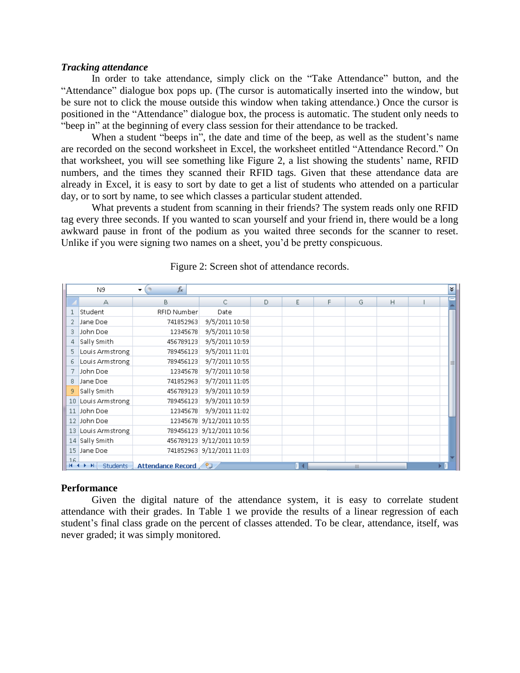#### *Tracking attendance*

In order to take attendance, simply click on the "Take Attendance" button, and the "Attendance" dialogue box pops up. (The cursor is automatically inserted into the window, but be sure not to click the mouse outside this window when taking attendance.) Once the cursor is positioned in the "Attendance" dialogue box, the process is automatic. The student only needs to "beep in" at the beginning of every class session for their attendance to be tracked.

When a student "beeps in", the date and time of the beep, as well as the student's name are recorded on the second worksheet in Excel, the worksheet entitled "Attendance Record." On that worksheet, you will see something like Figure 2, a list showing the students' name, RFID numbers, and the times they scanned their RFID tags. Given that these attendance data are already in Excel, it is easy to sort by date to get a list of students who attended on a particular day, or to sort by name, to see which classes a particular student attended.

What prevents a student from scanning in their friends? The system reads only one RFID tag every three seconds. If you wanted to scan yourself and your friend in, there would be a long awkward pause in front of the podium as you waited three seconds for the scanner to reset. Unlike if you were signing two names on a sheet, you'd be pretty conspicuous.

|                 | N <sub>9</sub>             | $f_x$<br>۰               |                           |   |   |   |   |   | ¥ |
|-----------------|----------------------------|--------------------------|---------------------------|---|---|---|---|---|---|
|                 | А                          | B                        | C.                        | D | E | F | G | Н |   |
| $\mathbf{1}$    | <b>Student</b>             | RFID Number              | Date                      |   |   |   |   |   |   |
| $\overline{2}$  | Jane Doe                   | 741852963                | 9/5/2011 10:58            |   |   |   |   |   |   |
| 3               | John Doe                   | 12345678                 | 9/5/2011 10:58            |   |   |   |   |   |   |
|                 | Sally Smith                | 456789123                | 9/5/2011 10:59            |   |   |   |   |   |   |
| 5.              | Louis Armstrong            | 789456123                | 9/5/2011 11:01            |   |   |   |   |   |   |
| 6               | Louis Armstrong            | 789456123                | 9/7/2011 10:55            |   |   |   |   |   |   |
| 7               | John Doe                   | 12345678                 | 9/7/2011 10:58            |   |   |   |   |   |   |
| 8               | Jane Doe                   | 741852963                | 9/7/2011 11:05            |   |   |   |   |   |   |
| 9               | Sally Smith                | 456789123                | 9/9/2011 10:59            |   |   |   |   |   |   |
|                 | 10 Louis Armstrong         | 789456123                | 9/9/2011 10:59            |   |   |   |   |   |   |
| 11              | John Doe                   | 12345678                 | 9/9/2011 11:02            |   |   |   |   |   |   |
| 12 <sup>°</sup> | John Doe                   |                          | 12345678 9/12/2011 10:55  |   |   |   |   |   |   |
|                 | 13 Louis Armstrong         |                          | 789456123 9/12/2011 10:56 |   |   |   |   |   |   |
|                 | 14 Sally Smith             |                          | 456789123 9/12/2011 10:59 |   |   |   |   |   |   |
|                 | 15 Jane Doe                |                          | 741852963 9/12/2011 11:03 |   |   |   |   |   |   |
| 16              |                            |                          |                           |   |   |   |   |   |   |
|                 | <b>Students</b><br>$H + H$ | <b>Attendance Record</b> |                           |   |   |   | Ш |   |   |

Figure 2: Screen shot of attendance records.

### **Performance**

Given the digital nature of the attendance system, it is easy to correlate student attendance with their grades. In Table 1 we provide the results of a linear regression of each student's final class grade on the percent of classes attended. To be clear, attendance, itself, was never graded; it was simply monitored.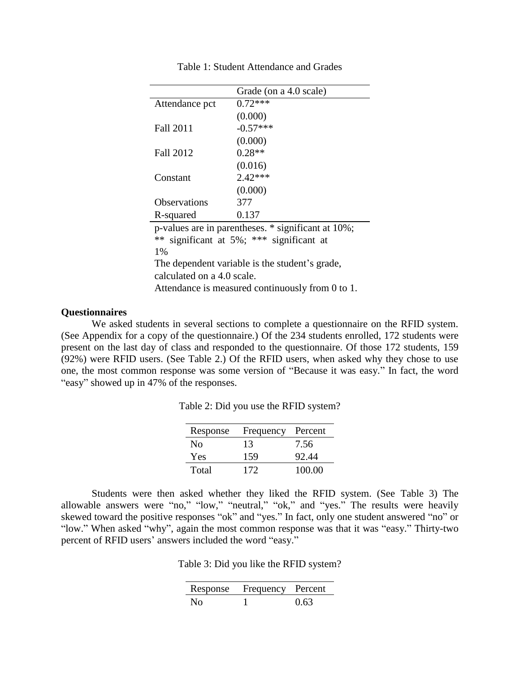|                                                    | Grade (on a 4.0 scale) |  |  |  |  |
|----------------------------------------------------|------------------------|--|--|--|--|
| Attendance pct                                     | $0.72***$              |  |  |  |  |
|                                                    | (0.000)                |  |  |  |  |
| Fall 2011                                          | $-0.57***$             |  |  |  |  |
|                                                    | (0.000)                |  |  |  |  |
| Fall 2012                                          | $0.28**$               |  |  |  |  |
|                                                    | (0.016)                |  |  |  |  |
| Constant                                           | $2.42***$              |  |  |  |  |
|                                                    | (0.000)                |  |  |  |  |
| <b>Observations</b>                                | 377                    |  |  |  |  |
| R-squared                                          | 0.137                  |  |  |  |  |
| p-values are in parentheses. * significant at 10%; |                        |  |  |  |  |
| ** significant at 5%; *** significant at           |                        |  |  |  |  |
| 1%                                                 |                        |  |  |  |  |
| The dependent variable is the student's grade,     |                        |  |  |  |  |

Table 1: Student Attendance and Grades

Attendance is measured continuously from 0 to 1.

calculated on a 4.0 scale.

#### **Questionnaires**

We asked students in several sections to complete a questionnaire on the RFID system. (See Appendix for a copy of the questionnaire.) Of the 234 students enrolled, 172 students were present on the last day of class and responded to the questionnaire. Of those 172 students, 159 (92%) were RFID users. (See Table 2.) Of the RFID users, when asked why they chose to use one, the most common response was some version of "Because it was easy." In fact, the word "easy" showed up in 47% of the responses.

| Response | Frequency | Percent |
|----------|-----------|---------|
| No       | 13        | 7.56    |
| Yes      | 159       | 92.44   |
| Total    | 172       | 100.00  |

Table 2: Did you use the RFID system?

Students were then asked whether they liked the RFID system. (See Table 3) The allowable answers were "no," "low," "neutral," "ok," and "yes." The results were heavily skewed toward the positive responses "ok" and "yes." In fact, only one student answered "no" or "low." When asked "why", again the most common response was that it was "easy." Thirty-two percent of RFID users' answers included the word "easy."

Table 3: Did you like the RFID system?

| Response | Frequency Percent |      |
|----------|-------------------|------|
| No.      |                   | 0.63 |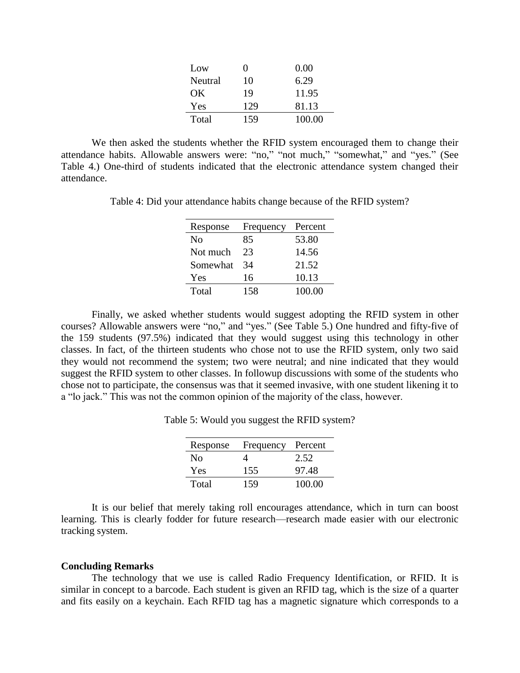| Low     | 0   | 0.00   |
|---------|-----|--------|
| Neutral | 10  | 6.29   |
| OK.     | 19  | 11.95  |
| Yes     | 129 | 81.13  |
| Total   | 159 | 100.00 |

We then asked the students whether the RFID system encouraged them to change their attendance habits. Allowable answers were: "no," "not much," "somewhat," and "yes." (See Table 4.) One-third of students indicated that the electronic attendance system changed their attendance.

Table 4: Did your attendance habits change because of the RFID system?

| Response | Frequency | Percent |  |
|----------|-----------|---------|--|
| No       | 85        | 53.80   |  |
| Not much | 23        | 14.56   |  |
| Somewhat | 34        | 21.52   |  |
| Yes      | 16        | 10.13   |  |
| Total    | 158       | 100.00  |  |

Finally, we asked whether students would suggest adopting the RFID system in other courses? Allowable answers were "no," and "yes." (See Table 5.) One hundred and fifty-five of the 159 students (97.5%) indicated that they would suggest using this technology in other classes. In fact, of the thirteen students who chose not to use the RFID system, only two said they would not recommend the system; two were neutral; and nine indicated that they would suggest the RFID system to other classes. In followup discussions with some of the students who chose not to participate, the consensus was that it seemed invasive, with one student likening it to a "lo jack." This was not the common opinion of the majority of the class, however.

Table 5: Would you suggest the RFID system?

| Response | Frequency Percent |        |
|----------|-------------------|--------|
| Nο       |                   | 2.52   |
| Yes      | 155               | 97.48  |
| Total    | 159               | 100.00 |

It is our belief that merely taking roll encourages attendance, which in turn can boost learning. This is clearly fodder for future research—research made easier with our electronic tracking system.

#### **Concluding Remarks**

The technology that we use is called Radio Frequency Identification, or RFID. It is similar in concept to a barcode. Each student is given an RFID tag, which is the size of a quarter and fits easily on a keychain. Each RFID tag has a magnetic signature which corresponds to a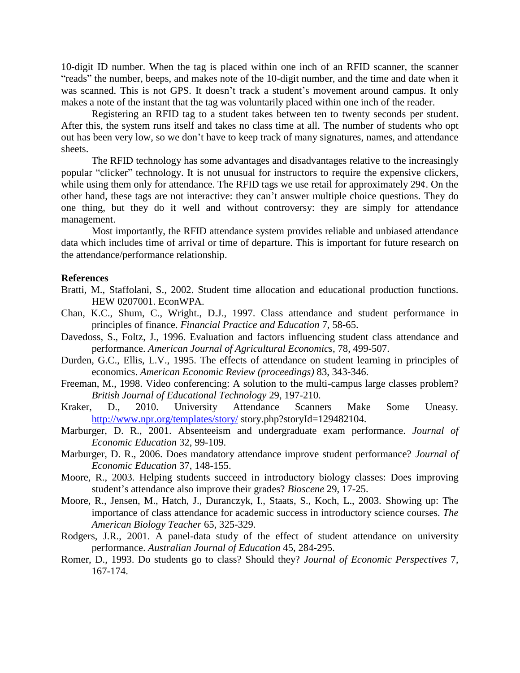10-digit ID number. When the tag is placed within one inch of an RFID scanner, the scanner "reads" the number, beeps, and makes note of the 10-digit number, and the time and date when it was scanned. This is not GPS. It doesn't track a student's movement around campus. It only makes a note of the instant that the tag was voluntarily placed within one inch of the reader.

Registering an RFID tag to a student takes between ten to twenty seconds per student. After this, the system runs itself and takes no class time at all. The number of students who opt out has been very low, so we don't have to keep track of many signatures, names, and attendance sheets.

The RFID technology has some advantages and disadvantages relative to the increasingly popular "clicker" technology. It is not unusual for instructors to require the expensive clickers, while using them only for attendance. The RFID tags we use retail for approximately  $29¢$ . On the other hand, these tags are not interactive: they can't answer multiple choice questions. They do one thing, but they do it well and without controversy: they are simply for attendance management.

Most importantly, the RFID attendance system provides reliable and unbiased attendance data which includes time of arrival or time of departure. This is important for future research on the attendance/performance relationship.

#### **References**

- Bratti, M., Staffolani, S., 2002. Student time allocation and educational production functions. HEW 0207001. EconWPA.
- Chan, K.C., Shum, C., Wright., D.J., 1997. Class attendance and student performance in principles of finance. *Financial Practice and Education* 7, 58-65.
- Davedoss, S., Foltz, J., 1996. Evaluation and factors influencing student class attendance and performance. *American Journal of Agricultural Economics*, 78, 499-507.
- Durden, G.C., Ellis, L.V., 1995. The effects of attendance on student learning in principles of economics. *American Economic Review (proceedings)* 83, 343-346.
- Freeman, M., 1998. Video conferencing: A solution to the multi-campus large classes problem? *British Journal of Educational Technology* 29, 197-210.
- Kraker, D., 2010. University Attendance Scanners Make Some Uneasy. <http://www.npr.org/templates/story/> story.php?storyId=129482104.
- Marburger, D. R., 2001. Absenteeism and undergraduate exam performance. *Journal of Economic Education* 32, 99-109.
- Marburger, D. R., 2006. Does mandatory attendance improve student performance? *Journal of Economic Education* 37, 148-155.
- Moore, R., 2003. Helping students succeed in introductory biology classes: Does improving student's attendance also improve their grades? *Bioscene* 29, 17-25.
- Moore, R., Jensen, M., Hatch, J., Duranczyk, I., Staats, S., Koch, L., 2003. Showing up: The importance of class attendance for academic success in introductory science courses. *The American Biology Teacher* 65, 325-329.
- Rodgers, J.R., 2001. A panel-data study of the effect of student attendance on university performance. *Australian Journal of Education* 45, 284-295.
- Romer, D., 1993. Do students go to class? Should they? *Journal of Economic Perspectives* 7, 167-174.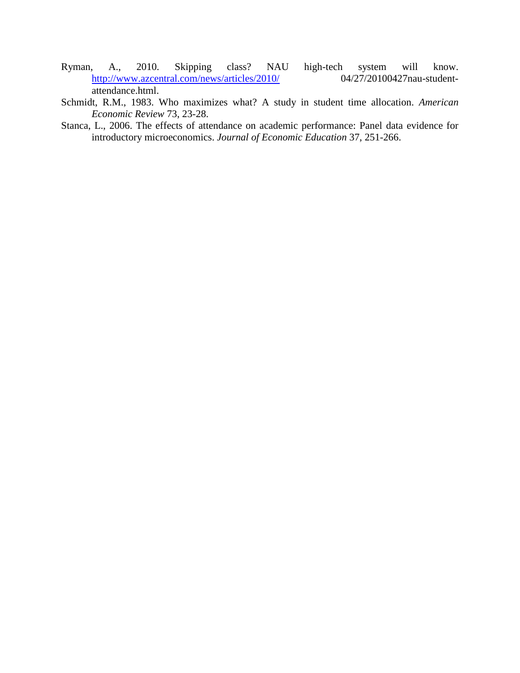- Ryman, A., 2010. Skipping class? NAU high-tech system will know. <http://www.azcentral.com/news/articles/2010/> 04/27/20100427nau-studentattendance.html.
- Schmidt, R.M., 1983. Who maximizes what? A study in student time allocation. *American Economic Review* 73, 23-28.
- Stanca, L., 2006. The effects of attendance on academic performance: Panel data evidence for introductory microeconomics. *Journal of Economic Education* 37, 251-266.